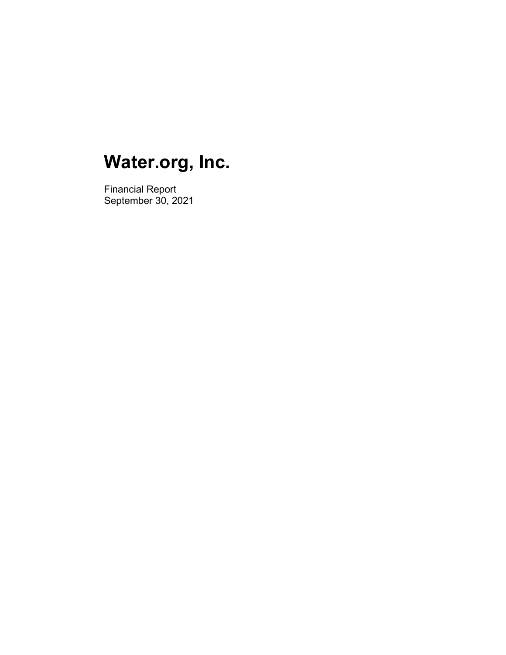Financial Report September 30, 2021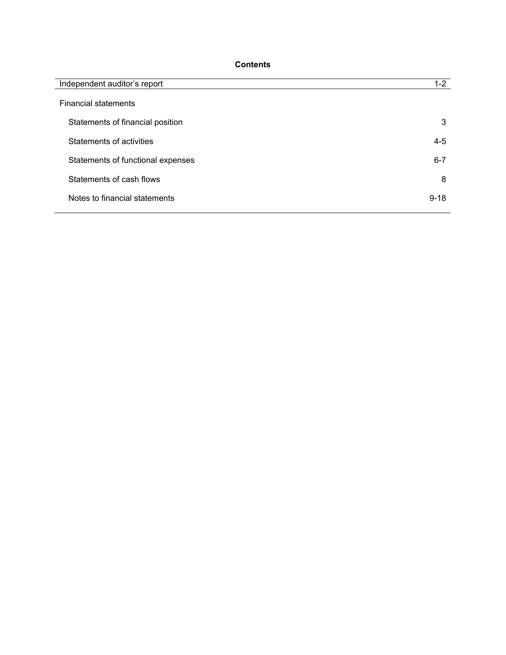## **Contents**

| Independent auditor's report      | $1 - 2$  |
|-----------------------------------|----------|
| <b>Financial statements</b>       |          |
| Statements of financial position  | 3        |
| Statements of activities          | $4 - 5$  |
| Statements of functional expenses | $6 - 7$  |
| Statements of cash flows          | 8        |
| Notes to financial statements     | $9 - 18$ |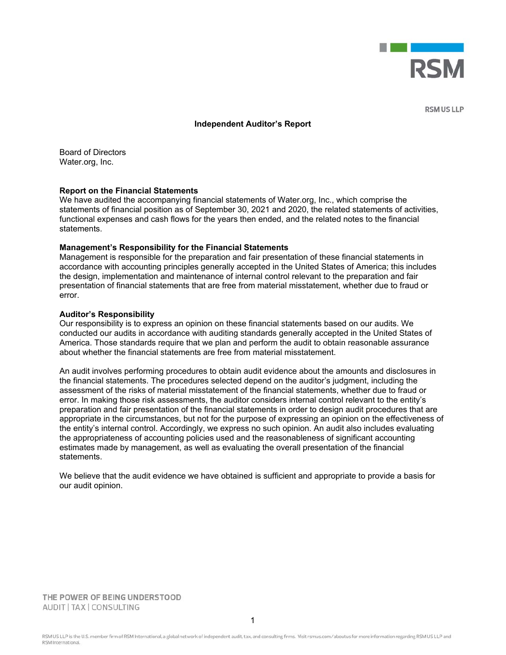

**RSM US LLP** 

#### **Independent Auditor's Report**

Board of Directors Water.org, Inc.

#### **Report on the Financial Statements**

We have audited the accompanying financial statements of Water.org, Inc., which comprise the statements of financial position as of September 30, 2021 and 2020, the related statements of activities, functional expenses and cash flows for the years then ended, and the related notes to the financial statements.

#### **Management's Responsibility for the Financial Statements**

Management is responsible for the preparation and fair presentation of these financial statements in accordance with accounting principles generally accepted in the United States of America; this includes the design, implementation and maintenance of internal control relevant to the preparation and fair presentation of financial statements that are free from material misstatement, whether due to fraud or error.

#### **Auditor's Responsibility**

Our responsibility is to express an opinion on these financial statements based on our audits. We conducted our audits in accordance with auditing standards generally accepted in the United States of America. Those standards require that we plan and perform the audit to obtain reasonable assurance about whether the financial statements are free from material misstatement.

An audit involves performing procedures to obtain audit evidence about the amounts and disclosures in the financial statements. The procedures selected depend on the auditor's judgment, including the assessment of the risks of material misstatement of the financial statements, whether due to fraud or error. In making those risk assessments, the auditor considers internal control relevant to the entity's preparation and fair presentation of the financial statements in order to design audit procedures that are appropriate in the circumstances, but not for the purpose of expressing an opinion on the effectiveness of the entity's internal control. Accordingly, we express no such opinion. An audit also includes evaluating the appropriateness of accounting policies used and the reasonableness of significant accounting estimates made by management, as well as evaluating the overall presentation of the financial statements.

We believe that the audit evidence we have obtained is sufficient and appropriate to provide a basis for our audit opinion.

THE POWER OF BEING UNDERSTOOD AUDIT | TAX | CONSULTING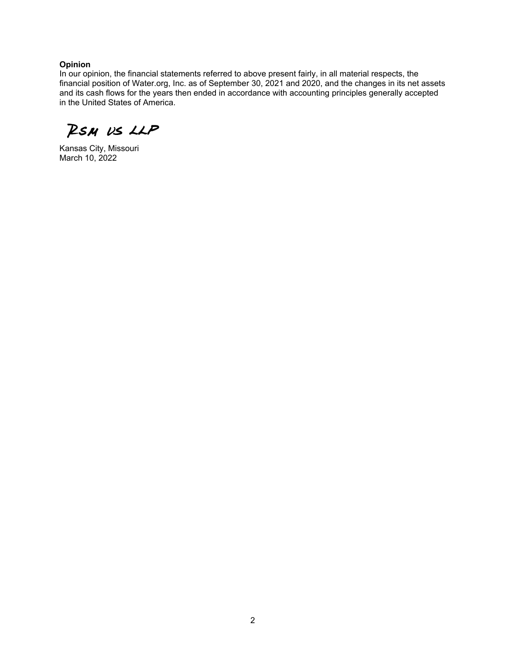#### **Opinion**

In our opinion, the financial statements referred to above present fairly, in all material respects, the financial position of Water.org, Inc. as of September 30, 2021 and 2020, and the changes in its net assets and its cash flows for the years then ended in accordance with accounting principles generally accepted in the United States of America.

RSM US LLP

Kansas City, Missouri March 10, 2022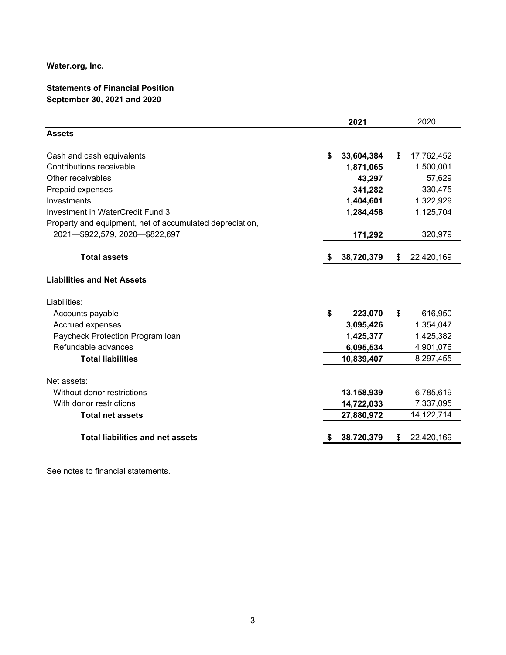## **Statements of Financial Position September 30, 2021 and 2020**

|                                                          | 2021                    | 2020                   |
|----------------------------------------------------------|-------------------------|------------------------|
| <b>Assets</b>                                            |                         |                        |
| Cash and cash equivalents                                | \$<br>33,604,384        | \$<br>17,762,452       |
| Contributions receivable                                 | 1,871,065               | 1,500,001              |
| Other receivables                                        | 43,297                  | 57,629                 |
| Prepaid expenses                                         | 341,282                 | 330,475                |
| Investments                                              | 1,404,601               | 1,322,929              |
| Investment in WaterCredit Fund 3                         | 1,284,458               | 1,125,704              |
| Property and equipment, net of accumulated depreciation, |                         |                        |
| 2021-\$922,579, 2020-\$822,697                           | 171,292                 | 320,979                |
| <b>Total assets</b>                                      | 38,720,379              | \$<br>22,420,169       |
| <b>Liabilities and Net Assets</b>                        |                         |                        |
| Liabilities:                                             |                         |                        |
| Accounts payable                                         | \$<br>223,070           | \$<br>616,950          |
| Accrued expenses                                         | 3,095,426               | 1,354,047              |
| Paycheck Protection Program Ioan<br>Refundable advances  | 1,425,377               | 1,425,382              |
| <b>Total liabilities</b>                                 | 6,095,534<br>10,839,407 | 4,901,076<br>8,297,455 |
|                                                          |                         |                        |
| Net assets:                                              |                         |                        |
| Without donor restrictions                               | 13,158,939              | 6,785,619              |
| With donor restrictions                                  | 14,722,033              | 7,337,095              |
| <b>Total net assets</b>                                  | 27,880,972              | 14, 122, 714           |
|                                                          |                         |                        |
| <b>Total liabilities and net assets</b>                  | 38,720,379              | \$<br>22,420,169       |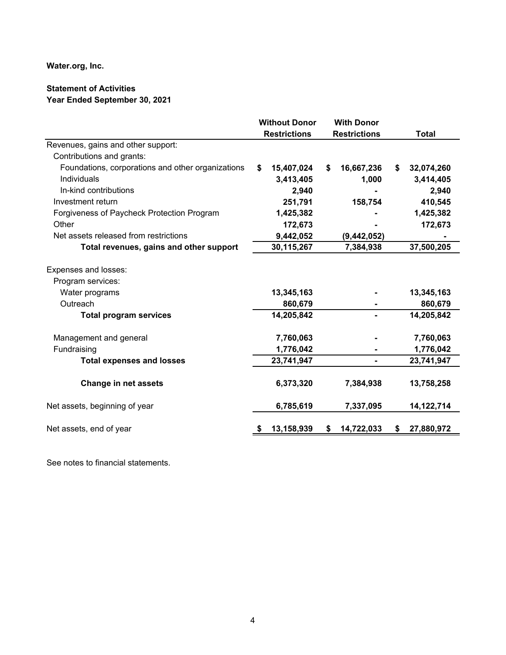## **Statement of Activities Year Ended September 30, 2021**

|                                                   | <b>Without Donor</b> |            | <b>With Donor</b>   |    |              |
|---------------------------------------------------|----------------------|------------|---------------------|----|--------------|
|                                                   | <b>Restrictions</b>  |            | <b>Restrictions</b> |    | <b>Total</b> |
| Revenues, gains and other support:                |                      |            |                     |    |              |
| Contributions and grants:                         |                      |            |                     |    |              |
| Foundations, corporations and other organizations | \$                   | 15,407,024 | \$<br>16,667,236    | S. | 32,074,260   |
| Individuals                                       |                      | 3,413,405  | 1,000               |    | 3,414,405    |
| In-kind contributions                             |                      | 2,940      |                     |    | 2,940        |
| Investment return                                 |                      | 251,791    | 158,754             |    | 410,545      |
| Forgiveness of Paycheck Protection Program        |                      | 1,425,382  |                     |    | 1,425,382    |
| Other                                             |                      | 172,673    |                     |    | 172,673      |
| Net assets released from restrictions             |                      | 9,442,052  | (9,442,052)         |    |              |
| Total revenues, gains and other support           |                      | 30,115,267 | 7,384,938           |    | 37,500,205   |
| Expenses and losses:                              |                      |            |                     |    |              |
| Program services:                                 |                      |            |                     |    |              |
| Water programs                                    |                      | 13,345,163 |                     |    | 13,345,163   |
| Outreach                                          |                      | 860,679    |                     |    | 860,679      |
| <b>Total program services</b>                     |                      | 14,205,842 |                     |    | 14,205,842   |
| Management and general                            |                      | 7,760,063  |                     |    | 7,760,063    |
| Fundraising                                       |                      | 1,776,042  |                     |    | 1,776,042    |
| <b>Total expenses and losses</b>                  |                      | 23,741,947 | -                   |    | 23,741,947   |
| <b>Change in net assets</b>                       |                      | 6,373,320  | 7,384,938           |    | 13,758,258   |
| Net assets, beginning of year                     |                      | 6,785,619  | 7,337,095           |    | 14, 122, 714 |
| Net assets, end of year                           |                      | 13,158,939 | \$<br>14,722,033    | \$ | 27,880,972   |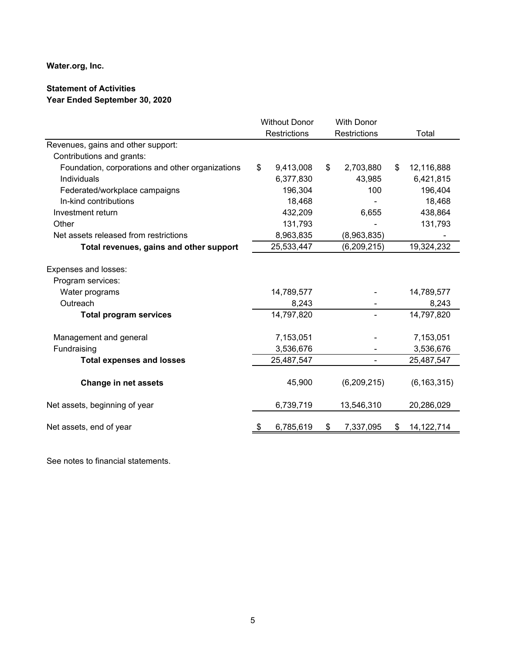## **Statement of Activities Year Ended September 30, 2020**

|                                                  | <b>Without Donor</b><br><b>With Donor</b> |              |                     |                    |
|--------------------------------------------------|-------------------------------------------|--------------|---------------------|--------------------|
|                                                  |                                           | Restrictions | <b>Restrictions</b> | Total              |
| Revenues, gains and other support:               |                                           |              |                     |                    |
| Contributions and grants:                        |                                           |              |                     |                    |
| Foundation, corporations and other organizations | \$                                        | 9,413,008    | \$<br>2,703,880     | \$<br>12,116,888   |
| Individuals                                      |                                           | 6,377,830    | 43,985              | 6,421,815          |
| Federated/workplace campaigns                    |                                           | 196,304      | 100                 | 196,404            |
| In-kind contributions                            |                                           | 18,468       |                     | 18,468             |
| Investment return                                |                                           | 432,209      | 6,655               | 438,864            |
| Other                                            |                                           | 131,793      |                     | 131,793            |
| Net assets released from restrictions            |                                           | 8,963,835    | (8,963,835)         |                    |
| Total revenues, gains and other support          |                                           | 25,533,447   | (6, 209, 215)       | 19,324,232         |
| Expenses and losses:<br>Program services:        |                                           |              |                     |                    |
| Water programs                                   |                                           | 14,789,577   |                     | 14,789,577         |
| Outreach                                         |                                           | 8,243        |                     | 8,243              |
| <b>Total program services</b>                    |                                           | 14,797,820   |                     | 14,797,820         |
| Management and general                           |                                           | 7,153,051    |                     | 7,153,051          |
| Fundraising                                      |                                           | 3,536,676    |                     | 3,536,676          |
| <b>Total expenses and losses</b>                 |                                           | 25,487,547   |                     | 25,487,547         |
| <b>Change in net assets</b>                      |                                           | 45,900       | (6,209,215)         | (6, 163, 315)      |
| Net assets, beginning of year                    |                                           | 6,739,719    | 13,546,310          | 20,286,029         |
| Net assets, end of year                          | \$                                        | 6,785,619    | 7,337,095           | \$<br>14, 122, 714 |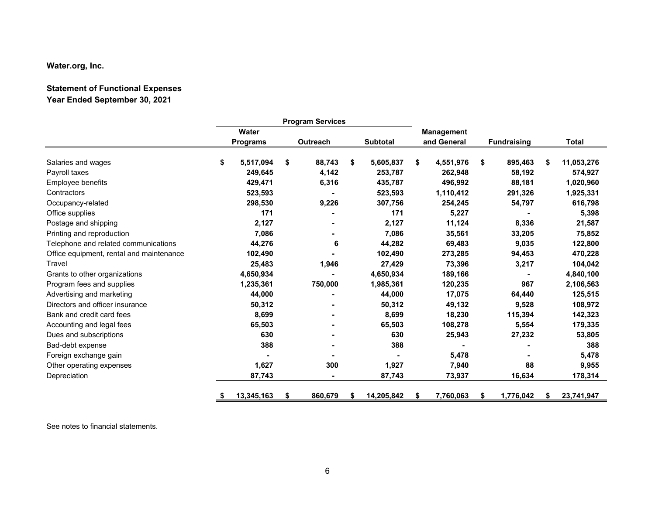## **Statement of Functional Expenses Year Ended September 30, 2021**

|                                          |    | <b>Program Services</b> |    |          |    |                   |    |             |    |                    |    |              |
|------------------------------------------|----|-------------------------|----|----------|----|-------------------|----|-------------|----|--------------------|----|--------------|
|                                          |    | Water                   |    |          |    | <b>Management</b> |    |             |    |                    |    |              |
|                                          |    | <b>Programs</b>         |    | Outreach |    | <b>Subtotal</b>   |    | and General |    | <b>Fundraising</b> |    | <b>Total</b> |
| Salaries and wages                       | \$ | 5,517,094               | \$ | 88,743   | \$ | 5,605,837         | \$ | 4,551,976   | S. | 895,463            | \$ | 11,053,276   |
| Payroll taxes                            |    | 249,645                 |    | 4,142    |    | 253,787           |    | 262,948     |    | 58,192             |    | 574,927      |
| Employee benefits                        |    | 429,471                 |    | 6,316    |    | 435,787           |    | 496,992     |    | 88,181             |    | 1,020,960    |
| Contractors                              |    | 523,593                 |    |          |    | 523,593           |    | 1,110,412   |    | 291,326            |    | 1,925,331    |
| Occupancy-related                        |    | 298,530                 |    | 9,226    |    | 307,756           |    | 254,245     |    | 54,797             |    | 616,798      |
| Office supplies                          |    | 171                     |    |          |    | 171               |    | 5,227       |    |                    |    | 5,398        |
| Postage and shipping                     |    | 2,127                   |    |          |    | 2,127             |    | 11,124      |    | 8,336              |    | 21,587       |
| Printing and reproduction                |    | 7,086                   |    |          |    | 7,086             |    | 35,561      |    | 33,205             |    | 75,852       |
| Telephone and related communications     |    | 44,276                  |    | 6        |    | 44,282            |    | 69,483      |    | 9,035              |    | 122,800      |
| Office equipment, rental and maintenance |    | 102,490                 |    |          |    | 102,490           |    | 273,285     |    | 94,453             |    | 470,228      |
| Travel                                   |    | 25,483                  |    | 1,946    |    | 27,429            |    | 73,396      |    | 3,217              |    | 104,042      |
| Grants to other organizations            |    | 4,650,934               |    |          |    | 4,650,934         |    | 189,166     |    |                    |    | 4,840,100    |
| Program fees and supplies                |    | 1,235,361               |    | 750,000  |    | 1,985,361         |    | 120,235     |    | 967                |    | 2,106,563    |
| Advertising and marketing                |    | 44,000                  |    |          |    | 44,000            |    | 17,075      |    | 64,440             |    | 125,515      |
| Directors and officer insurance          |    | 50,312                  |    |          |    | 50,312            |    | 49,132      |    | 9,528              |    | 108,972      |
| Bank and credit card fees                |    | 8,699                   |    |          |    | 8,699             |    | 18,230      |    | 115,394            |    | 142,323      |
| Accounting and legal fees                |    | 65,503                  |    |          |    | 65,503            |    | 108,278     |    | 5,554              |    | 179,335      |
| Dues and subscriptions                   |    | 630                     |    |          |    | 630               |    | 25,943      |    | 27,232             |    | 53,805       |
| Bad-debt expense                         |    | 388                     |    |          |    | 388               |    |             |    |                    |    | 388          |
| Foreign exchange gain                    |    |                         |    |          |    |                   |    | 5,478       |    |                    |    | 5,478        |
| Other operating expenses                 |    | 1,627                   |    | 300      |    | 1,927             |    | 7,940       |    | 88                 |    | 9,955        |
| Depreciation                             |    | 87,743                  |    |          |    | 87,743            |    | 73,937      |    | 16,634             |    | 178,314      |
|                                          | ≗  | 13,345,163              | S  | 860,679  | S  | 14,205,842        | S  | 7,760,063   |    | 1,776,042          | S  | 23,741,947   |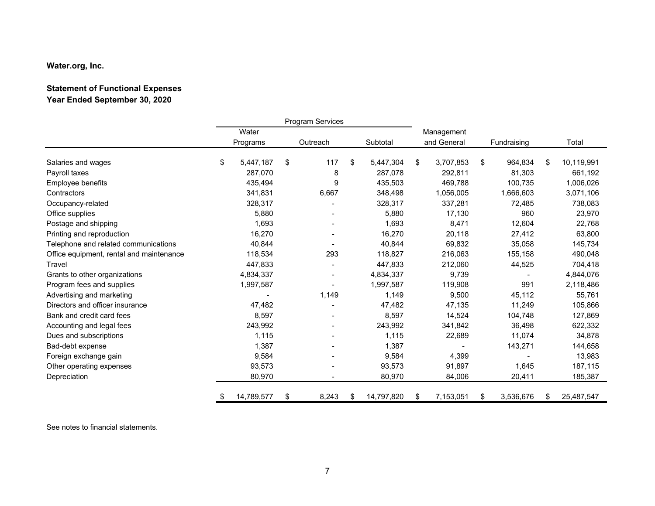## **Statement of Functional Expenses Year Ended September 30, 2020**

|                                          | Program Services |            |    |          |    |            |                 |                 |                  |
|------------------------------------------|------------------|------------|----|----------|----|------------|-----------------|-----------------|------------------|
|                                          |                  | Water      |    |          |    |            | Management      |                 |                  |
|                                          |                  | Programs   |    | Outreach |    | Subtotal   | and General     | Fundraising     | Total            |
| Salaries and wages                       | \$               | 5,447,187  | \$ | 117      | \$ | 5,447,304  | \$<br>3,707,853 | \$<br>964,834   | \$<br>10,119,991 |
| Payroll taxes                            |                  | 287.070    |    | 8        |    | 287,078    | 292,811         | 81,303          | 661,192          |
| Employee benefits                        |                  | 435,494    |    | 9        |    | 435,503    | 469,788         | 100,735         | 1,006,026        |
| Contractors                              |                  | 341,831    |    | 6,667    |    | 348,498    | 1,056,005       | 1,666,603       | 3,071,106        |
| Occupancy-related                        |                  | 328,317    |    |          |    | 328,317    | 337,281         | 72,485          | 738,083          |
| Office supplies                          |                  | 5,880      |    |          |    | 5,880      | 17,130          | 960             | 23,970           |
| Postage and shipping                     |                  | 1,693      |    |          |    | 1.693      | 8,471           | 12,604          | 22,768           |
| Printing and reproduction                |                  | 16,270     |    |          |    | 16,270     | 20,118          | 27,412          | 63,800           |
| Telephone and related communications     |                  | 40,844     |    |          |    | 40,844     | 69,832          | 35,058          | 145,734          |
| Office equipment, rental and maintenance |                  | 118,534    |    | 293      |    | 118,827    | 216,063         | 155,158         | 490,048          |
| Travel                                   |                  | 447,833    |    |          |    | 447,833    | 212,060         | 44,525          | 704,418          |
| Grants to other organizations            |                  | 4,834,337  |    |          |    | 4,834,337  | 9,739           |                 | 4,844,076        |
| Program fees and supplies                |                  | 1,997,587  |    |          |    | 1,997,587  | 119,908         | 991             | 2,118,486        |
| Advertising and marketing                |                  |            |    | 1,149    |    | 1,149      | 9,500           | 45,112          | 55,761           |
| Directors and officer insurance          |                  | 47,482     |    |          |    | 47,482     | 47,135          | 11,249          | 105,866          |
| Bank and credit card fees                |                  | 8,597      |    |          |    | 8,597      | 14,524          | 104,748         | 127,869          |
| Accounting and legal fees                |                  | 243,992    |    |          |    | 243,992    | 341,842         | 36,498          | 622,332          |
| Dues and subscriptions                   |                  | 1,115      |    |          |    | 1,115      | 22,689          | 11,074          | 34,878           |
| Bad-debt expense                         |                  | 1,387      |    |          |    | 1,387      |                 | 143,271         | 144,658          |
| Foreign exchange gain                    |                  | 9,584      |    |          |    | 9,584      | 4,399           |                 | 13,983           |
| Other operating expenses                 |                  | 93,573     |    |          |    | 93,573     | 91,897          | 1,645           | 187,115          |
| Depreciation                             |                  | 80,970     |    |          |    | 80,970     | 84,006          | 20,411          | 185,387          |
|                                          | S                | 14,789,577 | \$ | 8,243    | \$ | 14,797,820 | \$<br>7,153,051 | \$<br>3,536,676 | \$<br>25,487,547 |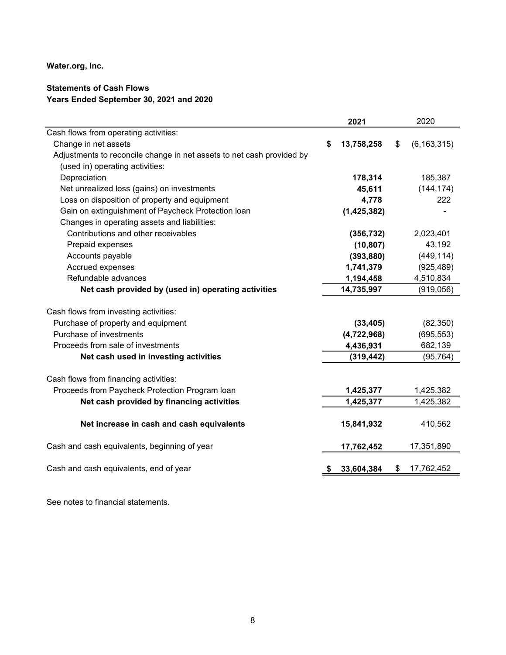## **Statements of Cash Flows Years Ended September 30, 2021 and 2020**

|                                                                       | 2021             | 2020                |
|-----------------------------------------------------------------------|------------------|---------------------|
| Cash flows from operating activities:                                 |                  |                     |
| Change in net assets                                                  | \$<br>13,758,258 | \$<br>(6, 163, 315) |
| Adjustments to reconcile change in net assets to net cash provided by |                  |                     |
| (used in) operating activities:                                       |                  |                     |
| Depreciation                                                          | 178,314          | 185,387             |
| Net unrealized loss (gains) on investments                            | 45,611           | (144, 174)          |
| Loss on disposition of property and equipment                         | 4,778            | 222                 |
| Gain on extinguishment of Paycheck Protection loan                    | (1,425,382)      |                     |
| Changes in operating assets and liabilities:                          |                  |                     |
| Contributions and other receivables                                   | (356, 732)       | 2,023,401           |
| Prepaid expenses                                                      | (10, 807)        | 43,192              |
| Accounts payable                                                      | (393, 880)       | (449, 114)          |
| Accrued expenses                                                      | 1,741,379        | (925, 489)          |
| Refundable advances                                                   | 1,194,458        | 4,510,834           |
| Net cash provided by (used in) operating activities                   | 14,735,997       | (919, 056)          |
| Cash flows from investing activities:                                 |                  |                     |
| Purchase of property and equipment                                    | (33, 405)        | (82, 350)           |
| Purchase of investments                                               | (4,722,968)      | (695, 553)          |
| Proceeds from sale of investments                                     | 4,436,931        | 682,139             |
| Net cash used in investing activities                                 | (319, 442)       | (95, 764)           |
| Cash flows from financing activities:                                 |                  |                     |
| Proceeds from Paycheck Protection Program Ioan                        | 1,425,377        | 1,425,382           |
| Net cash provided by financing activities                             | 1,425,377        | 1,425,382           |
| Net increase in cash and cash equivalents                             | 15,841,932       | 410,562             |
|                                                                       |                  |                     |
| Cash and cash equivalents, beginning of year                          | 17,762,452       | 17,351,890          |
| Cash and cash equivalents, end of year                                | 33,604,384       | \$<br>17,762,452    |
|                                                                       |                  |                     |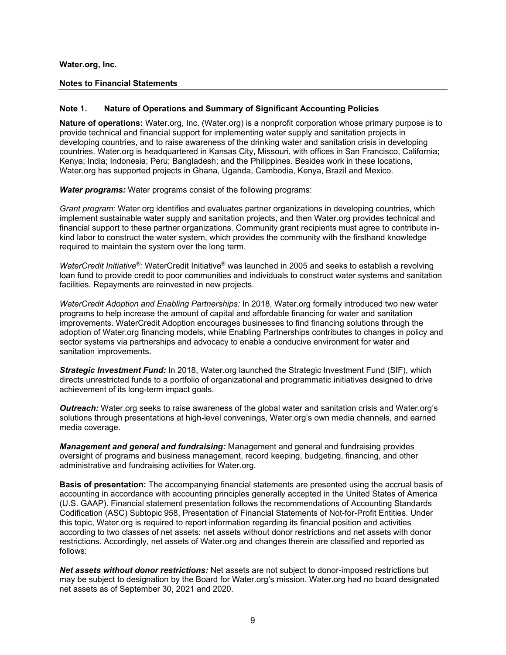#### **Notes to Financial Statements**

#### **Note 1. Nature of Operations and Summary of Significant Accounting Policies**

**Nature of operations:** Water.org, Inc. (Water.org) is a nonprofit corporation whose primary purpose is to provide technical and financial support for implementing water supply and sanitation projects in developing countries, and to raise awareness of the drinking water and sanitation crisis in developing countries. Water.org is headquartered in Kansas City, Missouri, with offices in San Francisco, California; Kenya; India; Indonesia; Peru; Bangladesh; and the Philippines. Besides work in these locations, Water.org has supported projects in Ghana, Uganda, Cambodia, Kenya, Brazil and Mexico.

*Water programs:* Water programs consist of the following programs:

*Grant program:* Water.org identifies and evaluates partner organizations in developing countries, which implement sustainable water supply and sanitation projects, and then Water.org provides technical and financial support to these partner organizations. Community grant recipients must agree to contribute inkind labor to construct the water system, which provides the community with the firsthand knowledge required to maintain the system over the long term.

*WaterCredit Initiative®:* WaterCredit Initiative® was launched in 2005 and seeks to establish a revolving loan fund to provide credit to poor communities and individuals to construct water systems and sanitation facilities. Repayments are reinvested in new projects.

*WaterCredit Adoption and Enabling Partnerships:* In 2018, Water.org formally introduced two new water programs to help increase the amount of capital and affordable financing for water and sanitation improvements. WaterCredit Adoption encourages businesses to find financing solutions through the adoption of Water.org financing models, while Enabling Partnerships contributes to changes in policy and sector systems via partnerships and advocacy to enable a conducive environment for water and sanitation improvements.

*Strategic Investment Fund:* In 2018, Water.org launched the Strategic Investment Fund (SIF), which directs unrestricted funds to a portfolio of organizational and programmatic initiatives designed to drive achievement of its long-term impact goals.

*Outreach:* Water.org seeks to raise awareness of the global water and sanitation crisis and Water.org's solutions through presentations at high-level convenings, Water.org's own media channels, and earned media coverage.

*Management and general and fundraising:* Management and general and fundraising provides oversight of programs and business management, record keeping, budgeting, financing, and other administrative and fundraising activities for Water.org.

**Basis of presentation:** The accompanying financial statements are presented using the accrual basis of accounting in accordance with accounting principles generally accepted in the United States of America (U.S. GAAP). Financial statement presentation follows the recommendations of Accounting Standards Codification (ASC) Subtopic 958, Presentation of Financial Statements of Not-for-Profit Entities. Under this topic, Water.org is required to report information regarding its financial position and activities according to two classes of net assets: net assets without donor restrictions and net assets with donor restrictions. Accordingly, net assets of Water.org and changes therein are classified and reported as follows:

*Net assets without donor restrictions:* Net assets are not subject to donor-imposed restrictions but may be subject to designation by the Board for Water.org's mission. Water.org had no board designated net assets as of September 30, 2021 and 2020.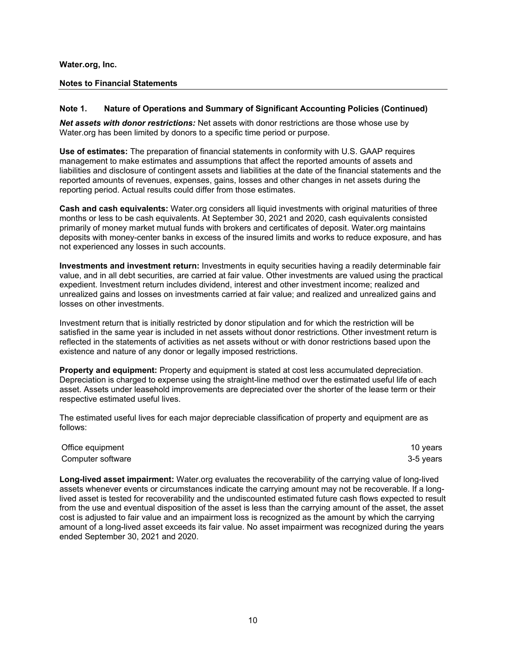#### **Notes to Financial Statements**

#### **Note 1. Nature of Operations and Summary of Significant Accounting Policies (Continued)**

*Net assets with donor restrictions:* Net assets with donor restrictions are those whose use by Water.org has been limited by donors to a specific time period or purpose.

**Use of estimates:** The preparation of financial statements in conformity with U.S. GAAP requires management to make estimates and assumptions that affect the reported amounts of assets and liabilities and disclosure of contingent assets and liabilities at the date of the financial statements and the reported amounts of revenues, expenses, gains, losses and other changes in net assets during the reporting period. Actual results could differ from those estimates.

**Cash and cash equivalents:** Water.org considers all liquid investments with original maturities of three months or less to be cash equivalents. At September 30, 2021 and 2020, cash equivalents consisted primarily of money market mutual funds with brokers and certificates of deposit. Water.org maintains deposits with money-center banks in excess of the insured limits and works to reduce exposure, and has not experienced any losses in such accounts.

**Investments and investment return:** Investments in equity securities having a readily determinable fair value, and in all debt securities, are carried at fair value. Other investments are valued using the practical expedient. Investment return includes dividend, interest and other investment income; realized and unrealized gains and losses on investments carried at fair value; and realized and unrealized gains and losses on other investments.

Investment return that is initially restricted by donor stipulation and for which the restriction will be satisfied in the same year is included in net assets without donor restrictions. Other investment return is reflected in the statements of activities as net assets without or with donor restrictions based upon the existence and nature of any donor or legally imposed restrictions.

**Property and equipment:** Property and equipment is stated at cost less accumulated depreciation. Depreciation is charged to expense using the straight-line method over the estimated useful life of each asset. Assets under leasehold improvements are depreciated over the shorter of the lease term or their respective estimated useful lives.

The estimated useful lives for each major depreciable classification of property and equipment are as follows:

| Office equipment  | 10 vears  |
|-------------------|-----------|
| Computer software | 3-5 years |

**Long-lived asset impairment:** Water.org evaluates the recoverability of the carrying value of long-lived assets whenever events or circumstances indicate the carrying amount may not be recoverable. If a longlived asset is tested for recoverability and the undiscounted estimated future cash flows expected to result from the use and eventual disposition of the asset is less than the carrying amount of the asset, the asset cost is adjusted to fair value and an impairment loss is recognized as the amount by which the carrying amount of a long-lived asset exceeds its fair value. No asset impairment was recognized during the years ended September 30, 2021 and 2020.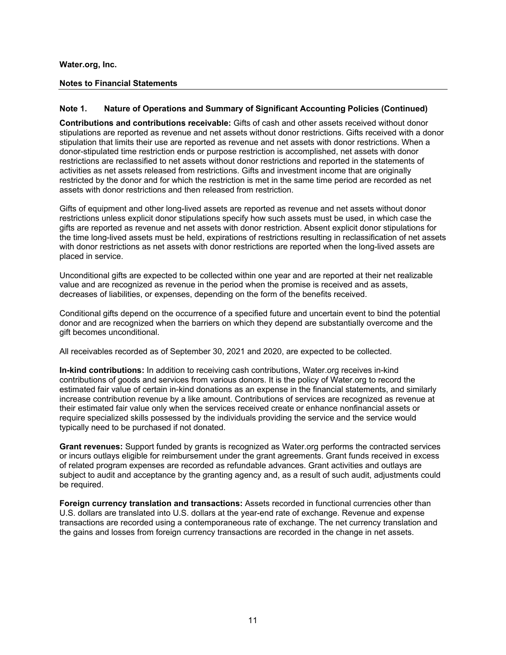#### **Notes to Financial Statements**

#### **Note 1. Nature of Operations and Summary of Significant Accounting Policies (Continued)**

**Contributions and contributions receivable:** Gifts of cash and other assets received without donor stipulations are reported as revenue and net assets without donor restrictions. Gifts received with a donor stipulation that limits their use are reported as revenue and net assets with donor restrictions. When a donor-stipulated time restriction ends or purpose restriction is accomplished, net assets with donor restrictions are reclassified to net assets without donor restrictions and reported in the statements of activities as net assets released from restrictions. Gifts and investment income that are originally restricted by the donor and for which the restriction is met in the same time period are recorded as net assets with donor restrictions and then released from restriction.

Gifts of equipment and other long-lived assets are reported as revenue and net assets without donor restrictions unless explicit donor stipulations specify how such assets must be used, in which case the gifts are reported as revenue and net assets with donor restriction. Absent explicit donor stipulations for the time long-lived assets must be held, expirations of restrictions resulting in reclassification of net assets with donor restrictions as net assets with donor restrictions are reported when the long-lived assets are placed in service.

Unconditional gifts are expected to be collected within one year and are reported at their net realizable value and are recognized as revenue in the period when the promise is received and as assets, decreases of liabilities, or expenses, depending on the form of the benefits received.

Conditional gifts depend on the occurrence of a specified future and uncertain event to bind the potential donor and are recognized when the barriers on which they depend are substantially overcome and the gift becomes unconditional.

All receivables recorded as of September 30, 2021 and 2020, are expected to be collected.

**In-kind contributions:** In addition to receiving cash contributions, Water.org receives in-kind contributions of goods and services from various donors. It is the policy of Water.org to record the estimated fair value of certain in-kind donations as an expense in the financial statements, and similarly increase contribution revenue by a like amount. Contributions of services are recognized as revenue at their estimated fair value only when the services received create or enhance nonfinancial assets or require specialized skills possessed by the individuals providing the service and the service would typically need to be purchased if not donated.

**Grant revenues:** Support funded by grants is recognized as Water.org performs the contracted services or incurs outlays eligible for reimbursement under the grant agreements. Grant funds received in excess of related program expenses are recorded as refundable advances. Grant activities and outlays are subject to audit and acceptance by the granting agency and, as a result of such audit, adjustments could be required.

**Foreign currency translation and transactions:** Assets recorded in functional currencies other than U.S. dollars are translated into U.S. dollars at the year-end rate of exchange. Revenue and expense transactions are recorded using a contemporaneous rate of exchange. The net currency translation and the gains and losses from foreign currency transactions are recorded in the change in net assets.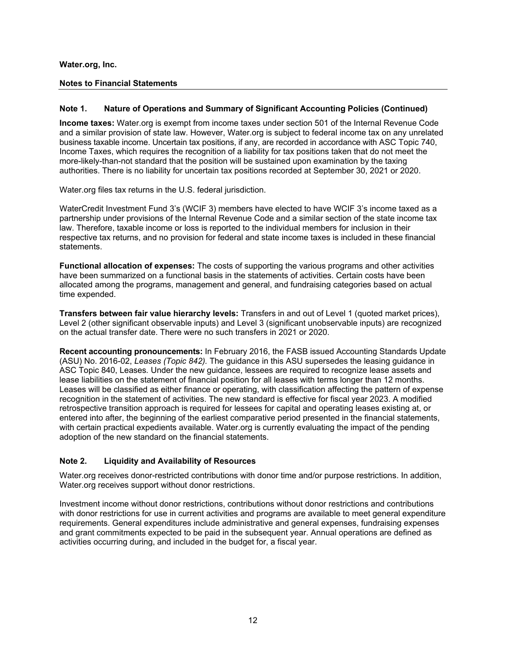#### **Notes to Financial Statements**

#### **Note 1. Nature of Operations and Summary of Significant Accounting Policies (Continued)**

**Income taxes:** Water.org is exempt from income taxes under section 501 of the Internal Revenue Code and a similar provision of state law. However, Water.org is subject to federal income tax on any unrelated business taxable income. Uncertain tax positions, if any, are recorded in accordance with ASC Topic 740, Income Taxes, which requires the recognition of a liability for tax positions taken that do not meet the more-likely-than-not standard that the position will be sustained upon examination by the taxing authorities. There is no liability for uncertain tax positions recorded at September 30, 2021 or 2020.

Water.org files tax returns in the U.S. federal jurisdiction.

WaterCredit Investment Fund 3's (WCIF 3) members have elected to have WCIF 3's income taxed as a partnership under provisions of the Internal Revenue Code and a similar section of the state income tax law. Therefore, taxable income or loss is reported to the individual members for inclusion in their respective tax returns, and no provision for federal and state income taxes is included in these financial statements.

**Functional allocation of expenses:** The costs of supporting the various programs and other activities have been summarized on a functional basis in the statements of activities. Certain costs have been allocated among the programs, management and general, and fundraising categories based on actual time expended.

**Transfers between fair value hierarchy levels:** Transfers in and out of Level 1 (quoted market prices), Level 2 (other significant observable inputs) and Level 3 (significant unobservable inputs) are recognized on the actual transfer date. There were no such transfers in 2021 or 2020.

**Recent accounting pronouncements:** In February 2016, the FASB issued Accounting Standards Update (ASU) No. 2016-02, *Leases (Topic 842).* The guidance in this ASU supersedes the leasing guidance in ASC Topic 840, Leases*.* Under the new guidance, lessees are required to recognize lease assets and lease liabilities on the statement of financial position for all leases with terms longer than 12 months. Leases will be classified as either finance or operating, with classification affecting the pattern of expense recognition in the statement of activities. The new standard is effective for fiscal year 2023. A modified retrospective transition approach is required for lessees for capital and operating leases existing at, or entered into after, the beginning of the earliest comparative period presented in the financial statements, with certain practical expedients available. Water.org is currently evaluating the impact of the pending adoption of the new standard on the financial statements.

### **Note 2. Liquidity and Availability of Resources**

Water.org receives donor-restricted contributions with donor time and/or purpose restrictions. In addition, Water.org receives support without donor restrictions.

Investment income without donor restrictions, contributions without donor restrictions and contributions with donor restrictions for use in current activities and programs are available to meet general expenditure requirements. General expenditures include administrative and general expenses, fundraising expenses and grant commitments expected to be paid in the subsequent year. Annual operations are defined as activities occurring during, and included in the budget for, a fiscal year.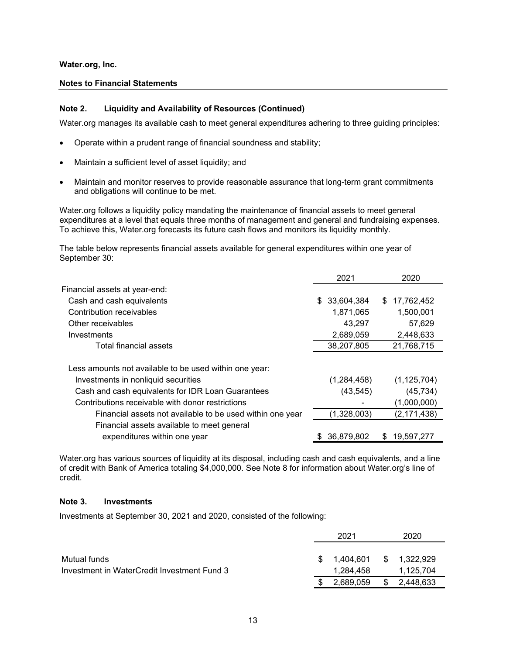#### **Notes to Financial Statements**

#### **Note 2. Liquidity and Availability of Resources (Continued)**

Water.org manages its available cash to meet general expenditures adhering to three guiding principles:

- Operate within a prudent range of financial soundness and stability;
- Maintain a sufficient level of asset liquidity; and
- Maintain and monitor reserves to provide reasonable assurance that long-term grant commitments and obligations will continue to be met.

Water.org follows a liquidity policy mandating the maintenance of financial assets to meet general expenditures at a level that equals three months of management and general and fundraising expenses. To achieve this, Water.org forecasts its future cash flows and monitors its liquidity monthly.

The table below represents financial assets available for general expenditures within one year of September 30:

|                                                           | 2021              | 2020            |
|-----------------------------------------------------------|-------------------|-----------------|
| Financial assets at year-end:                             |                   |                 |
| Cash and cash equivalents                                 | 33,604,384<br>\$. | \$17,762,452    |
| Contribution receivables                                  | 1,871,065         | 1,500,001       |
| Other receivables                                         | 43,297            | 57,629          |
| Investments                                               | 2,689,059         | 2,448,633       |
| Total financial assets                                    | 38,207,805        | 21,768,715      |
| Less amounts not available to be used within one year:    |                   |                 |
| Investments in nonliquid securities                       | (1,284,458)       | (1, 125, 704)   |
| Cash and cash equivalents for IDR Loan Guarantees         | (43, 545)         | (45, 734)       |
| Contributions receivable with donor restrictions          |                   | (1,000,000)     |
| Financial assets not available to be used within one year | (1,328,003)       | (2, 171, 438)   |
| Financial assets available to meet general                |                   |                 |
| expenditures within one year                              | 36,879,802        | 19,597,277<br>S |

Water.org has various sources of liquidity at its disposal, including cash and cash equivalents, and a line of credit with Bank of America totaling \$4,000,000. See Note 8 for information about Water.org's line of credit.

#### **Note 3. Investments**

Investments at September 30, 2021 and 2020, consisted of the following:

|                                             | 2021            |    |              |
|---------------------------------------------|-----------------|----|--------------|
| Mutual funds                                | \$1.404.601     |    | \$ 1.322.929 |
| Investment in WaterCredit Investment Fund 3 | 1.284.458       |    | 1,125,704    |
|                                             | \$<br>2,689,059 | \$ | 2,448,633    |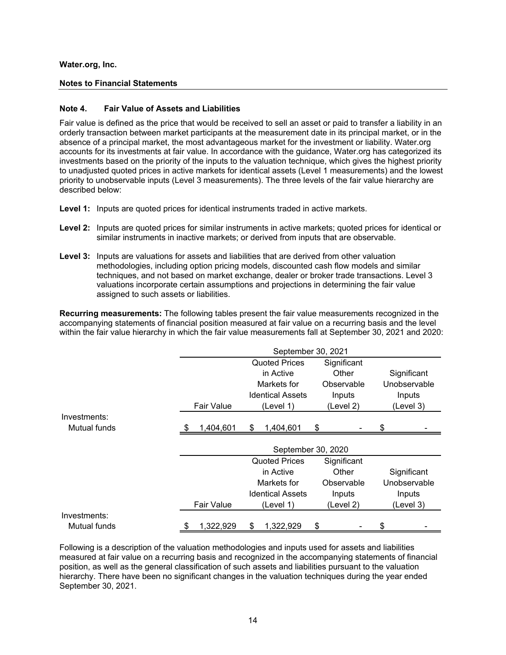#### **Notes to Financial Statements**

#### **Note 4. Fair Value of Assets and Liabilities**

Fair value is defined as the price that would be received to sell an asset or paid to transfer a liability in an orderly transaction between market participants at the measurement date in its principal market, or in the absence of a principal market, the most advantageous market for the investment or liability. Water.org accounts for its investments at fair value. In accordance with the guidance, Water.org has categorized its investments based on the priority of the inputs to the valuation technique, which gives the highest priority to unadjusted quoted prices in active markets for identical assets (Level 1 measurements) and the lowest priority to unobservable inputs (Level 3 measurements). The three levels of the fair value hierarchy are described below:

- **Level 1:** Inputs are quoted prices for identical instruments traded in active markets.
- **Level 2:** Inputs are quoted prices for similar instruments in active markets; quoted prices for identical or similar instruments in inactive markets; or derived from inputs that are observable.
- **Level 3:** Inputs are valuations for assets and liabilities that are derived from other valuation methodologies, including option pricing models, discounted cash flow models and similar techniques, and not based on market exchange, dealer or broker trade transactions. Level 3 valuations incorporate certain assumptions and projections in determining the fair value assigned to such assets or liabilities.

**Recurring measurements:** The following tables present the fair value measurements recognized in the accompanying statements of financial position measured at fair value on a recurring basis and the level within the fair value hierarchy in which the fair value measurements fall at September 30, 2021 and 2020:

|              | September 30, 2021 |                   |                                   |                      |             |             |    |              |  |
|--------------|--------------------|-------------------|-----------------------------------|----------------------|-------------|-------------|----|--------------|--|
|              |                    |                   |                                   | <b>Quoted Prices</b> |             |             |    |              |  |
|              |                    |                   |                                   |                      | Significant |             |    |              |  |
|              |                    |                   | Markets for<br>Observable         |                      |             |             |    | Unobservable |  |
|              |                    |                   | <b>Identical Assets</b><br>Inputs |                      |             |             |    | Inputs       |  |
|              |                    | <b>Fair Value</b> |                                   | (Level 1)            |             | (Level 2)   |    | (Level 3)    |  |
| Investments: |                    |                   |                                   |                      |             |             |    |              |  |
| Mutual funds |                    | 1,404,601         | \$                                | 1,404,601            | \$          |             |    |              |  |
|              |                    |                   |                                   |                      |             |             |    |              |  |
|              |                    |                   |                                   | September 30, 2020   |             |             |    |              |  |
|              |                    |                   |                                   | <b>Quoted Prices</b> |             | Significant |    |              |  |
|              |                    |                   |                                   | in Active            |             | Other       |    | Significant  |  |
|              |                    |                   |                                   | Markets for          |             | Observable  |    | Unobservable |  |
|              |                    |                   |                                   | Inputs               |             |             |    |              |  |
|              |                    | <b>Fair Value</b> |                                   | (Level 3)            |             |             |    |              |  |
| Investments: |                    |                   |                                   |                      |             |             |    |              |  |
| Mutual funds | \$                 | 1,322,929         | S                                 | 1,322,929            | \$          |             | \$ |              |  |

Following is a description of the valuation methodologies and inputs used for assets and liabilities measured at fair value on a recurring basis and recognized in the accompanying statements of financial position, as well as the general classification of such assets and liabilities pursuant to the valuation hierarchy. There have been no significant changes in the valuation techniques during the year ended September 30, 2021.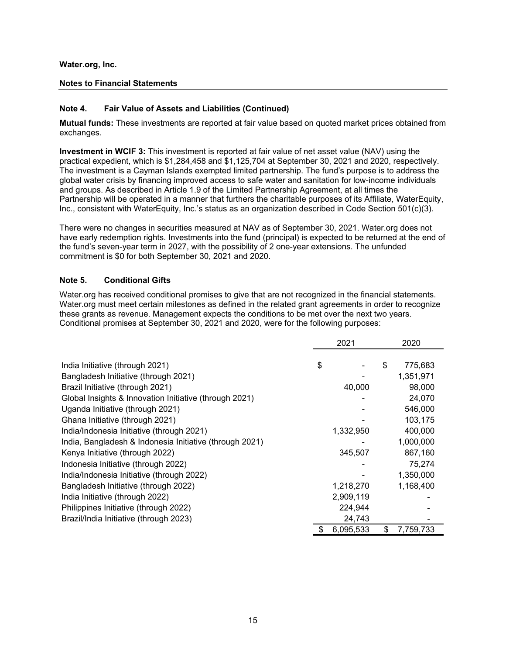#### **Notes to Financial Statements**

#### **Note 4. Fair Value of Assets and Liabilities (Continued)**

**Mutual funds:** These investments are reported at fair value based on quoted market prices obtained from exchanges.

**Investment in WCIF 3:** This investment is reported at fair value of net asset value (NAV) using the practical expedient, which is \$1,284,458 and \$1,125,704 at September 30, 2021 and 2020, respectively. The investment is a Cayman Islands exempted limited partnership. The fund's purpose is to address the global water crisis by financing improved access to safe water and sanitation for low-income individuals and groups. As described in Article 1.9 of the Limited Partnership Agreement, at all times the Partnership will be operated in a manner that furthers the charitable purposes of its Affiliate, WaterEquity, Inc., consistent with WaterEquity, Inc.'s status as an organization described in Code Section 501(c)(3).

There were no changes in securities measured at NAV as of September 30, 2021. Water.org does not have early redemption rights. Investments into the fund (principal) is expected to be returned at the end of the fund's seven-year term in 2027, with the possibility of 2 one-year extensions. The unfunded commitment is \$0 for both September 30, 2021 and 2020.

### **Note 5. Conditional Gifts**

Water.org has received conditional promises to give that are not recognized in the financial statements. Water.org must meet certain milestones as defined in the related grant agreements in order to recognize these grants as revenue. Management expects the conditions to be met over the next two years. Conditional promises at September 30, 2021 and 2020, were for the following purposes:

|                                                         | 2021 |           |    | 2020      |  |  |
|---------------------------------------------------------|------|-----------|----|-----------|--|--|
|                                                         |      |           |    |           |  |  |
| India Initiative (through 2021)                         | \$   |           | \$ | 775,683   |  |  |
| Bangladesh Initiative (through 2021)                    |      |           |    | 1,351,971 |  |  |
| Brazil Initiative (through 2021)                        |      | 40,000    |    | 98,000    |  |  |
| Global Insights & Innovation Initiative (through 2021)  |      |           |    | 24,070    |  |  |
| Uganda Initiative (through 2021)                        |      |           |    | 546,000   |  |  |
| Ghana Initiative (through 2021)                         |      |           |    | 103,175   |  |  |
| India/Indonesia Initiative (through 2021)               |      | 1,332,950 |    | 400,000   |  |  |
| India, Bangladesh & Indonesia Initiative (through 2021) |      |           |    | 1,000,000 |  |  |
| Kenya Initiative (through 2022)                         |      | 345,507   |    | 867,160   |  |  |
| Indonesia Initiative (through 2022)                     |      |           |    | 75,274    |  |  |
| India/Indonesia Initiative (through 2022)               |      |           |    | 1,350,000 |  |  |
| Bangladesh Initiative (through 2022)                    |      | 1,218,270 |    | 1,168,400 |  |  |
| India Initiative (through 2022)                         |      | 2,909,119 |    |           |  |  |
| Philippines Initiative (through 2022)                   |      | 224,944   |    |           |  |  |
| Brazil/India Initiative (through 2023)                  |      | 24,743    |    |           |  |  |
|                                                         |      | 6,095,533 | \$ | 7,759,733 |  |  |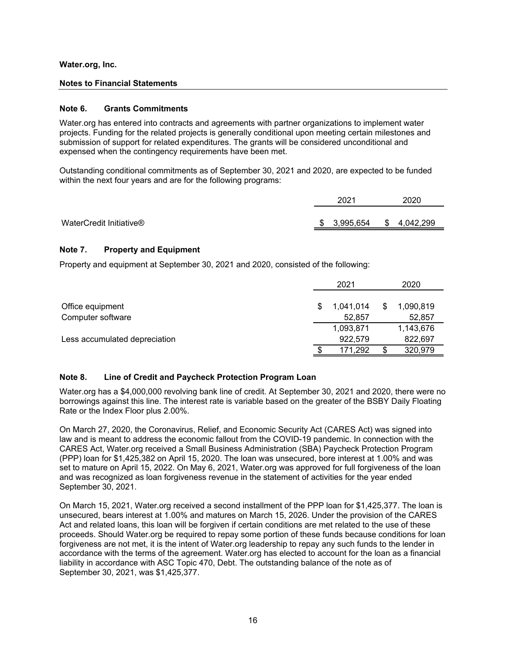## **Notes to Financial Statements**

## **Note 6. Grants Commitments**

Water.org has entered into contracts and agreements with partner organizations to implement water projects. Funding for the related projects is generally conditional upon meeting certain milestones and submission of support for related expenditures. The grants will be considered unconditional and expensed when the contingency requirements have been met.

Outstanding conditional commitments as of September 30, 2021 and 2020, are expected to be funded within the next four years and are for the following programs:

|                         | 2021 |              | 2020 |             |
|-------------------------|------|--------------|------|-------------|
|                         |      |              |      |             |
| WaterCredit Initiative® |      | \$ 3.995.654 |      | \$4,042,299 |

## **Note 7. Property and Equipment**

Property and equipment at September 30, 2021 and 2020, consisted of the following:

|                               | 2021 |           | 2020 |           |
|-------------------------------|------|-----------|------|-----------|
| Office equipment              | S    | 1,041,014 | \$   | 1,090,819 |
| Computer software             |      | 52.857    |      | 52,857    |
|                               |      | 1,093,871 |      | 1,143,676 |
| Less accumulated depreciation |      | 922,579   |      | 822,697   |
|                               |      | 171,292   |      | 320,979   |

## **Note 8. Line of Credit and Paycheck Protection Program Loan**

Water.org has a \$4,000,000 revolving bank line of credit. At September 30, 2021 and 2020, there were no borrowings against this line. The interest rate is variable based on the greater of the BSBY Daily Floating Rate or the Index Floor plus 2.00%.

On March 27, 2020, the Coronavirus, Relief, and Economic Security Act (CARES Act) was signed into law and is meant to address the economic fallout from the COVID-19 pandemic. In connection with the CARES Act, Water.org received a Small Business Administration (SBA) Paycheck Protection Program (PPP) loan for \$1,425,382 on April 15, 2020. The loan was unsecured, bore interest at 1.00% and was set to mature on April 15, 2022. On May 6, 2021, Water.org was approved for full forgiveness of the loan and was recognized as loan forgiveness revenue in the statement of activities for the year ended September 30, 2021.

On March 15, 2021, Water.org received a second installment of the PPP loan for \$1,425,377. The loan is unsecured, bears interest at 1.00% and matures on March 15, 2026. Under the provision of the CARES Act and related loans, this loan will be forgiven if certain conditions are met related to the use of these proceeds. Should Water.org be required to repay some portion of these funds because conditions for loan forgiveness are not met, it is the intent of Water.org leadership to repay any such funds to the lender in accordance with the terms of the agreement. Water.org has elected to account for the loan as a financial liability in accordance with ASC Topic 470, Debt. The outstanding balance of the note as of September 30, 2021, was \$1,425,377.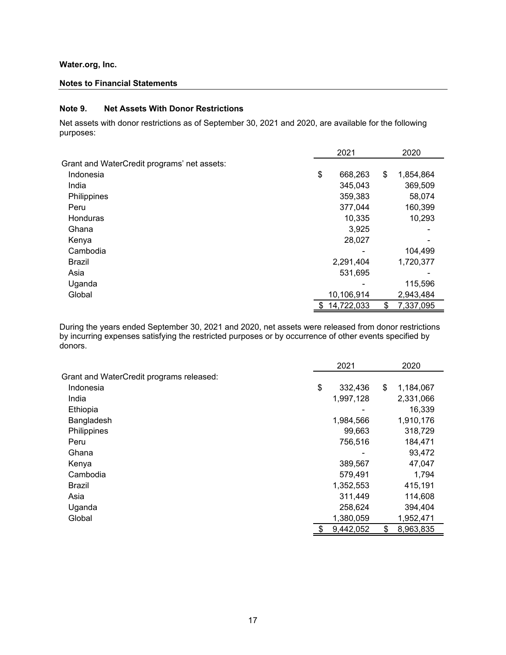#### **Notes to Financial Statements**

#### **Note 9. Net Assets With Donor Restrictions**

Net assets with donor restrictions as of September 30, 2021 and 2020, are available for the following purposes:

|                                             | 2021             |    | 2020      |  |
|---------------------------------------------|------------------|----|-----------|--|
| Grant and WaterCredit programs' net assets: |                  |    |           |  |
| Indonesia                                   | \$<br>668,263    | \$ | 1,854,864 |  |
| India                                       | 345,043          |    | 369,509   |  |
| Philippines                                 | 359,383          |    | 58,074    |  |
| Peru                                        | 377,044          |    | 160,399   |  |
| Honduras                                    | 10,335           |    | 10,293    |  |
| Ghana                                       | 3,925            |    |           |  |
| Kenya                                       | 28,027           |    |           |  |
| Cambodia                                    |                  |    | 104,499   |  |
| <b>Brazil</b>                               | 2,291,404        |    | 1,720,377 |  |
| Asia                                        | 531,695          |    |           |  |
| Uganda                                      |                  |    | 115,596   |  |
| Global                                      | 10,106,914       |    | 2,943,484 |  |
|                                             | \$<br>14,722,033 | \$ | 7,337,095 |  |

During the years ended September 30, 2021 and 2020, net assets were released from donor restrictions by incurring expenses satisfying the restricted purposes or by occurrence of other events specified by donors.

|                                          | 2021            | 2020            |
|------------------------------------------|-----------------|-----------------|
| Grant and WaterCredit programs released: |                 |                 |
| Indonesia                                | \$<br>332,436   | \$<br>1,184,067 |
| India                                    | 1,997,128       | 2,331,066       |
| Ethiopia                                 |                 | 16,339          |
| Bangladesh                               | 1,984,566       | 1,910,176       |
| Philippines                              | 99,663          | 318,729         |
| Peru                                     | 756,516         | 184,471         |
| Ghana                                    |                 | 93,472          |
| Kenya                                    | 389,567         | 47,047          |
| Cambodia                                 | 579,491         | 1,794           |
| Brazil                                   | 1,352,553       | 415,191         |
| Asia                                     | 311,449         | 114,608         |
| Uganda                                   | 258,624         | 394,404         |
| Global                                   | 1,380,059       | 1,952,471       |
|                                          | \$<br>9,442,052 | \$<br>8,963,835 |